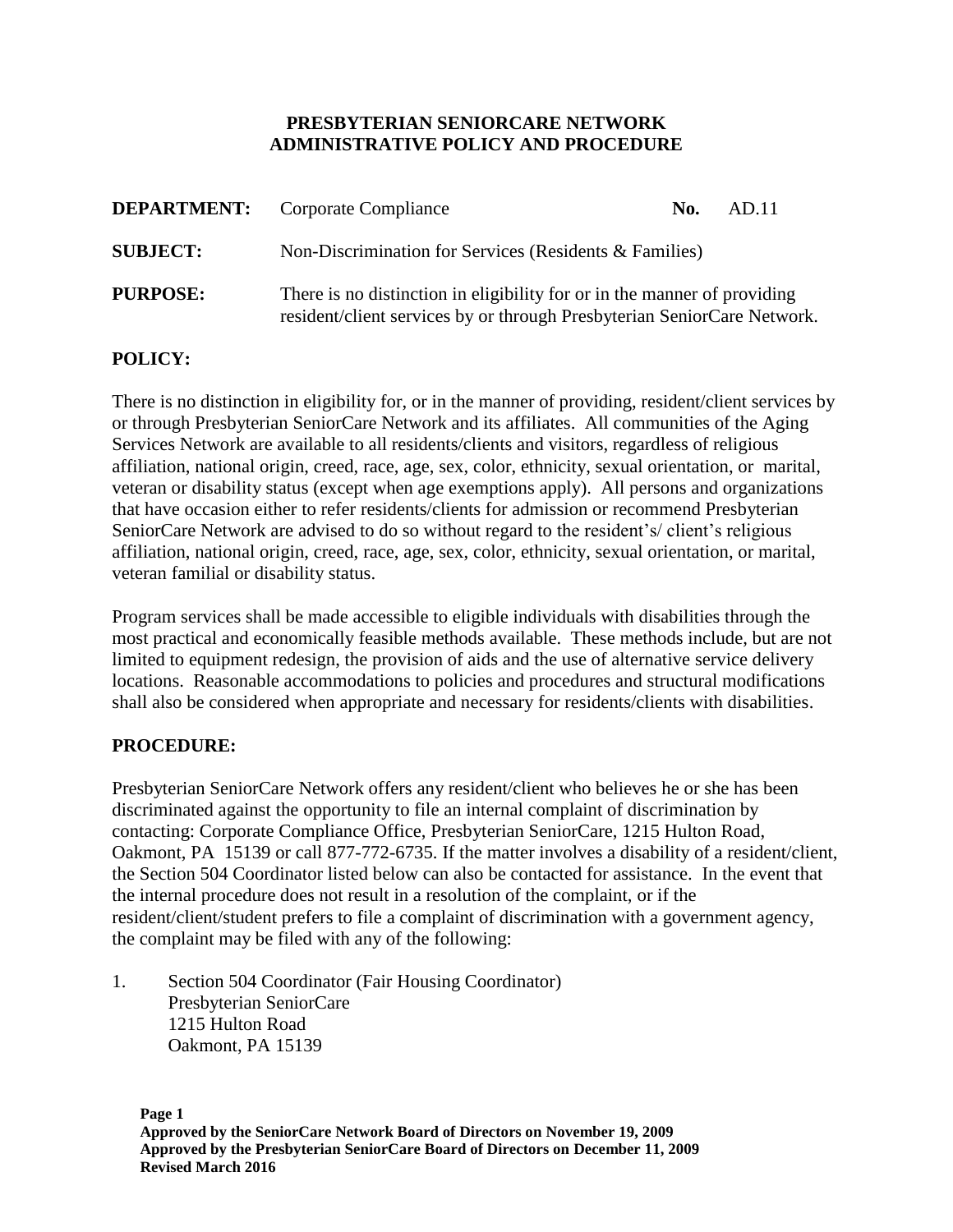## **PRESBYTERIAN SENIORCARE NETWORK ADMINISTRATIVE POLICY AND PROCEDURE**

|                 | <b>DEPARTMENT:</b> Corporate Compliance                                                                                                             | No. | AD.11 |
|-----------------|-----------------------------------------------------------------------------------------------------------------------------------------------------|-----|-------|
| <b>SUBJECT:</b> | Non-Discrimination for Services (Residents & Families)                                                                                              |     |       |
| <b>PURPOSE:</b> | There is no distinction in eligibility for or in the manner of providing<br>resident/client services by or through Presbyterian SeniorCare Network. |     |       |

## **POLICY:**

There is no distinction in eligibility for, or in the manner of providing, resident/client services by or through Presbyterian SeniorCare Network and its affiliates. All communities of the Aging Services Network are available to all residents/clients and visitors, regardless of religious affiliation, national origin, creed, race, age, sex, color, ethnicity, sexual orientation, or marital, veteran or disability status (except when age exemptions apply). All persons and organizations that have occasion either to refer residents/clients for admission or recommend Presbyterian SeniorCare Network are advised to do so without regard to the resident's/ client's religious affiliation, national origin, creed, race, age, sex, color, ethnicity, sexual orientation, or marital, veteran familial or disability status.

Program services shall be made accessible to eligible individuals with disabilities through the most practical and economically feasible methods available. These methods include, but are not limited to equipment redesign, the provision of aids and the use of alternative service delivery locations. Reasonable accommodations to policies and procedures and structural modifications shall also be considered when appropriate and necessary for residents/clients with disabilities.

## **PROCEDURE:**

Presbyterian SeniorCare Network offers any resident/client who believes he or she has been discriminated against the opportunity to file an internal complaint of discrimination by contacting: Corporate Compliance Office, Presbyterian SeniorCare, 1215 Hulton Road, Oakmont, PA 15139 or call 877-772-6735. If the matter involves a disability of a resident/client, the Section 504 Coordinator listed below can also be contacted for assistance. In the event that the internal procedure does not result in a resolution of the complaint, or if the resident/client/student prefers to file a complaint of discrimination with a government agency, the complaint may be filed with any of the following:

1. Section 504 Coordinator (Fair Housing Coordinator) Presbyterian SeniorCare 1215 Hulton Road Oakmont, PA 15139